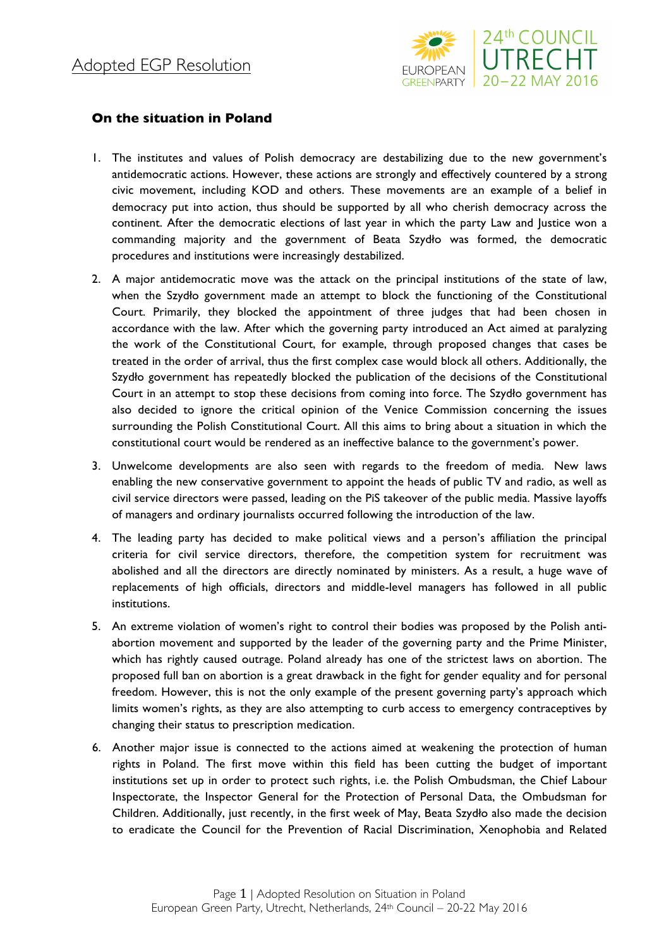

## **On the situation in Poland**

- 1. The institutes and values of Polish democracy are destabilizing due to the new government's antidemocratic actions. However, these actions are strongly and effectively countered by a strong civic movement, including KOD and others. These movements are an example of a belief in democracy put into action, thus should be supported by all who cherish democracy across the continent. After the democratic elections of last year in which the party Law and Justice won a commanding majority and the government of Beata Szydło was formed, the democratic procedures and institutions were increasingly destabilized.
- 2. A major antidemocratic move was the attack on the principal institutions of the state of law, when the Szydło government made an attempt to block the functioning of the Constitutional Court. Primarily, they blocked the appointment of three judges that had been chosen in accordance with the law. After which the governing party introduced an Act aimed at paralyzing the work of the Constitutional Court, for example, through proposed changes that cases be treated in the order of arrival, thus the first complex case would block all others. Additionally, the Szydło government has repeatedly blocked the publication of the decisions of the Constitutional Court in an attempt to stop these decisions from coming into force. The Szydło government has also decided to ignore the critical opinion of the Venice Commission concerning the issues surrounding the Polish Constitutional Court. All this aims to bring about a situation in which the constitutional court would be rendered as an ineffective balance to the government's power.
- 3. Unwelcome developments are also seen with regards to the freedom of media. New laws enabling the new conservative government to appoint the heads of public TV and radio, as well as civil service directors were passed, leading on the PiS takeover of the public media. Massive layoffs of managers and ordinary journalists occurred following the introduction of the law.
- 4. The leading party has decided to make political views and a person's affiliation the principal criteria for civil service directors, therefore, the competition system for recruitment was abolished and all the directors are directly nominated by ministers. As a result, a huge wave of replacements of high officials, directors and middle-level managers has followed in all public institutions.
- 5. An extreme violation of women's right to control their bodies was proposed by the Polish antiabortion movement and supported by the leader of the governing party and the Prime Minister, which has rightly caused outrage. Poland already has one of the strictest laws on abortion. The proposed full ban on abortion is a great drawback in the fight for gender equality and for personal freedom. However, this is not the only example of the present governing party's approach which limits women's rights, as they are also attempting to curb access to emergency contraceptives by changing their status to prescription medication.
- 6. Another major issue is connected to the actions aimed at weakening the protection of human rights in Poland. The first move within this field has been cutting the budget of important institutions set up in order to protect such rights, i.e. the Polish Ombudsman, the Chief Labour Inspectorate, the Inspector General for the Protection of Personal Data, the Ombudsman for Children. Additionally, just recently, in the first week of May, Beata Szydło also made the decision to eradicate the Council for the Prevention of Racial Discrimination, Xenophobia and Related